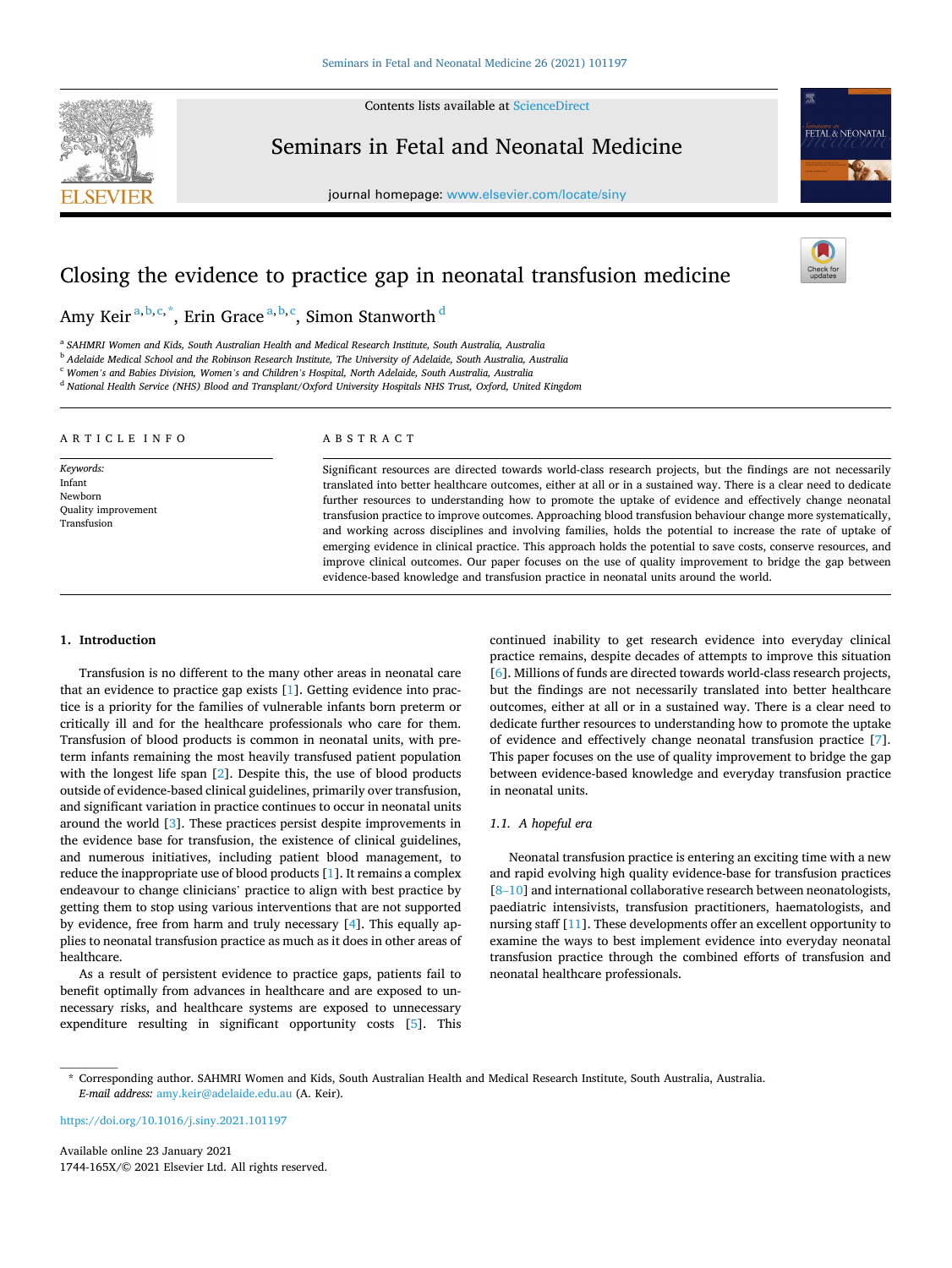**SEVIER** 

Contents lists available at [ScienceDirect](www.sciencedirect.com/science/journal/1744165X)

Seminars in Fetal and Neonatal Medicine

journal homepage: [www.elsevier.com/locate/siny](https://www.elsevier.com/locate/siny)



# Closing the evidence to practice gap in neonatal transfusion medicine

# Amy Keir <sup>a, b, c, \*</sup>, Erin Grace <sup>a, b, c</sup>, Simon Stanworth <sup>d</sup>

<sup>a</sup> *SAHMRI Women and Kids, South Australian Health and Medical Research Institute, South Australia, Australia* 

<sup>b</sup> *Adelaide Medical School and the Robinson Research Institute, The University of Adelaide, South Australia, Australia* 

<sup>c</sup> *Women's and Babies Division, Women's and Children's Hospital, North Adelaide, South Australia, Australia* 

<sup>d</sup> *National Health Service (NHS) Blood and Transplant/Oxford University Hospitals NHS Trust, Oxford, United Kingdom* 

| ARTICLE INFO                                                                | ABSTRACT                                                                                                                                                                                                                                                                                                                                                                                                                                                                                                                                                                                                                                                                                                                                                                                                                                                                                                   |
|-----------------------------------------------------------------------------|------------------------------------------------------------------------------------------------------------------------------------------------------------------------------------------------------------------------------------------------------------------------------------------------------------------------------------------------------------------------------------------------------------------------------------------------------------------------------------------------------------------------------------------------------------------------------------------------------------------------------------------------------------------------------------------------------------------------------------------------------------------------------------------------------------------------------------------------------------------------------------------------------------|
| Keywords:<br>Infant<br>Newborn<br><b>Quality improvement</b><br>Transfusion | Significant resources are directed towards world-class research projects, but the findings are not necessarily<br>translated into better healthcare outcomes, either at all or in a sustained way. There is a clear need to dedicate<br>further resources to understanding how to promote the uptake of evidence and effectively change neonatal<br>transfusion practice to improve outcomes. Approaching blood transfusion behaviour change more systematically,<br>and working across disciplines and involving families, holds the potential to increase the rate of uptake of<br>emerging evidence in clinical practice. This approach holds the potential to save costs, conserve resources, and<br>improve clinical outcomes. Our paper focuses on the use of quality improvement to bridge the gap between<br>evidence-based knowledge and transfusion practice in neonatal units around the world. |

# **1. Introduction**

Transfusion is no different to the many other areas in neonatal care that an evidence to practice gap exists [[1](#page-7-0)]. Getting evidence into practice is a priority for the families of vulnerable infants born preterm or critically ill and for the healthcare professionals who care for them. Transfusion of blood products is common in neonatal units, with preterm infants remaining the most heavily transfused patient population with the longest life span [[2](#page-7-0)]. Despite this, the use of blood products outside of evidence-based clinical guidelines, primarily over transfusion, and significant variation in practice continues to occur in neonatal units around the world [[3](#page-7-0)]. These practices persist despite improvements in the evidence base for transfusion, the existence of clinical guidelines, and numerous initiatives, including patient blood management, to reduce the inappropriate use of blood products [[1](#page-7-0)]. It remains a complex endeavour to change clinicians' practice to align with best practice by getting them to stop using various interventions that are not supported by evidence, free from harm and truly necessary [\[4\]](#page-7-0). This equally applies to neonatal transfusion practice as much as it does in other areas of healthcare.

As a result of persistent evidence to practice gaps, patients fail to benefit optimally from advances in healthcare and are exposed to unnecessary risks, and healthcare systems are exposed to unnecessary expenditure resulting in significant opportunity costs [[5](#page-7-0)]. This

continued inability to get research evidence into everyday clinical practice remains, despite decades of attempts to improve this situation [[6](#page-7-0)]. Millions of funds are directed towards world-class research projects, but the findings are not necessarily translated into better healthcare outcomes, either at all or in a sustained way. There is a clear need to dedicate further resources to understanding how to promote the uptake of evidence and effectively change neonatal transfusion practice [[7](#page-7-0)]. This paper focuses on the use of quality improvement to bridge the gap between evidence-based knowledge and everyday transfusion practice in neonatal units.

# *1.1. A hopeful era*

Neonatal transfusion practice is entering an exciting time with a new and rapid evolving high quality evidence-base for transfusion practices [8-[10](#page-7-0)] and international collaborative research between neonatologists, paediatric intensivists, transfusion practitioners, haematologists, and nursing staff [\[11](#page-7-0)]. These developments offer an excellent opportunity to examine the ways to best implement evidence into everyday neonatal transfusion practice through the combined efforts of transfusion and neonatal healthcare professionals.

<https://doi.org/10.1016/j.siny.2021.101197>

Available online 23 January 2021 1744-165X/© 2021 Elsevier Ltd. All rights reserved.

<sup>\*</sup> Corresponding author. SAHMRI Women and Kids, South Australian Health and Medical Research Institute, South Australia, Australia. *E-mail address:* [amy.keir@adelaide.edu.au](mailto:amy.keir@adelaide.edu.au) (A. Keir).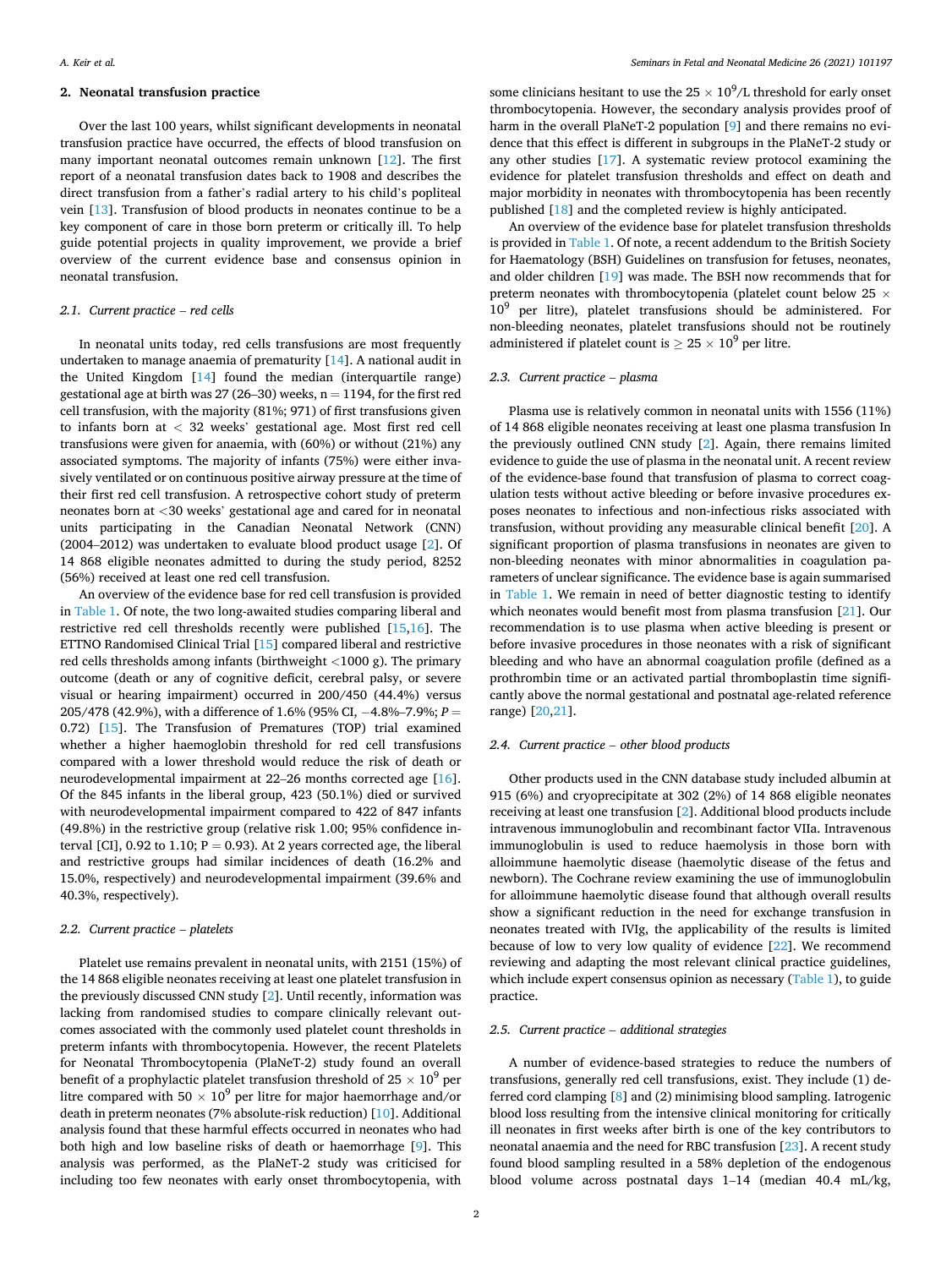# **2. Neonatal transfusion practice**

Over the last 100 years, whilst significant developments in neonatal transfusion practice have occurred, the effects of blood transfusion on many important neonatal outcomes remain unknown [\[12](#page-7-0)]. The first report of a neonatal transfusion dates back to 1908 and describes the direct transfusion from a father's radial artery to his child's popliteal vein [[13\]](#page-7-0). Transfusion of blood products in neonates continue to be a key component of care in those born preterm or critically ill. To help guide potential projects in quality improvement, we provide a brief overview of the current evidence base and consensus opinion in neonatal transfusion.

#### *2.1. Current practice* – *red cells*

In neonatal units today, red cells transfusions are most frequently undertaken to manage anaemia of prematurity [\[14](#page-7-0)]. A national audit in the United Kingdom [\[14](#page-7-0)] found the median (interquartile range) gestational age at birth was 27 (26–30) weeks,  $n = 1194$ , for the first red cell transfusion, with the majority (81%; 971) of first transfusions given to infants born at *<* 32 weeks' gestational age. Most first red cell transfusions were given for anaemia, with (60%) or without (21%) any associated symptoms. The majority of infants (75%) were either invasively ventilated or on continuous positive airway pressure at the time of their first red cell transfusion. A retrospective cohort study of preterm neonates born at *<*30 weeks' gestational age and cared for in neonatal units participating in the Canadian Neonatal Network (CNN) (2004–2012) was undertaken to evaluate blood product usage [\[2\]](#page-7-0). Of 14 868 eligible neonates admitted to during the study period, 8252 (56%) received at least one red cell transfusion.

An overview of the evidence base for red cell transfusion is provided in [Table 1.](#page-2-0) Of note, the two long-awaited studies comparing liberal and restrictive red cell thresholds recently were published [[15](#page-7-0),[16\]](#page-7-0). The ETTNO Randomised Clinical Trial [[15\]](#page-7-0) compared liberal and restrictive red cells thresholds among infants (birthweight *<*1000 g). The primary outcome (death or any of cognitive deficit, cerebral palsy, or severe visual or hearing impairment) occurred in 200/450 (44.4%) versus 205/478 (42.9%), with a difference of 1.6% (95% CI, − 4.8%–7.9%; *P* = 0.72) [\[15](#page-7-0)]. The Transfusion of Prematures (TOP) trial examined whether a higher haemoglobin threshold for red cell transfusions compared with a lower threshold would reduce the risk of death or neurodevelopmental impairment at 22–26 months corrected age [\[16](#page-7-0)]. Of the 845 infants in the liberal group, 423 (50.1%) died or survived with neurodevelopmental impairment compared to 422 of 847 infants (49.8%) in the restrictive group (relative risk 1.00; 95% confidence interval [CI],  $0.92$  to  $1.10$ ;  $P = 0.93$ ). At 2 years corrected age, the liberal and restrictive groups had similar incidences of death (16.2% and 15.0%, respectively) and neurodevelopmental impairment (39.6% and 40.3%, respectively).

# *2.2. Current practice* – *platelets*

Platelet use remains prevalent in neonatal units, with 2151 (15%) of the 14 868 eligible neonates receiving at least one platelet transfusion in the previously discussed CNN study [\[2\]](#page-7-0). Until recently, information was lacking from randomised studies to compare clinically relevant outcomes associated with the commonly used platelet count thresholds in preterm infants with thrombocytopenia. However, the recent Platelets for Neonatal Thrombocytopenia (PlaNeT-2) study found an overall benefit of a prophylactic platelet transfusion threshold of  $25 \times 10^9$  per litre compared with 50  $\times$  10<sup>9</sup> per litre for major haemorrhage and/or death in preterm neonates (7% absolute-risk reduction) [\[10](#page-7-0)]. Additional analysis found that these harmful effects occurred in neonates who had both high and low baseline risks of death or haemorrhage [\[9\]](#page-7-0). This analysis was performed, as the PlaNeT-2 study was criticised for including too few neonates with early onset thrombocytopenia, with

some clinicians hesitant to use the  $25 \times 10^9$ /L threshold for early onset thrombocytopenia. However, the secondary analysis provides proof of harm in the overall PlaNeT-2 population [\[9\]](#page-7-0) and there remains no evidence that this effect is different in subgroups in the PlaNeT-2 study or any other studies [\[17](#page-7-0)]. A systematic review protocol examining the evidence for platelet transfusion thresholds and effect on death and major morbidity in neonates with thrombocytopenia has been recently published [[18\]](#page-7-0) and the completed review is highly anticipated.

An overview of the evidence base for platelet transfusion thresholds is provided in [Table 1](#page-2-0). Of note, a recent addendum to the British Society for Haematology (BSH) Guidelines on transfusion for fetuses, neonates, and older children [[19\]](#page-7-0) was made. The BSH now recommends that for preterm neonates with thrombocytopenia (platelet count below 25 × 10<sup>9</sup> per litre), platelet transfusions should be administered. For non-bleeding neonates, platelet transfusions should not be routinely administered if platelet count is  $\geq 25 \times 10^9$  per litre.

# *2.3. Current practice* – *plasma*

Plasma use is relatively common in neonatal units with 1556 (11%) of 14 868 eligible neonates receiving at least one plasma transfusion In the previously outlined CNN study [[2](#page-7-0)]. Again, there remains limited evidence to guide the use of plasma in the neonatal unit. A recent review of the evidence-base found that transfusion of plasma to correct coagulation tests without active bleeding or before invasive procedures exposes neonates to infectious and non-infectious risks associated with transfusion, without providing any measurable clinical benefit [\[20](#page-7-0)]. A significant proportion of plasma transfusions in neonates are given to non-bleeding neonates with minor abnormalities in coagulation parameters of unclear significance. The evidence base is again summarised in [Table 1.](#page-2-0) We remain in need of better diagnostic testing to identify which neonates would benefit most from plasma transfusion [\[21](#page-7-0)]. Our recommendation is to use plasma when active bleeding is present or before invasive procedures in those neonates with a risk of significant bleeding and who have an abnormal coagulation profile (defined as a prothrombin time or an activated partial thromboplastin time significantly above the normal gestational and postnatal age-related reference range) [\[20,21](#page-7-0)].

# *2.4. Current practice* – *other blood products*

Other products used in the CNN database study included albumin at 915 (6%) and cryoprecipitate at 302 (2%) of 14 868 eligible neonates receiving at least one transfusion [[2](#page-7-0)]. Additional blood products include intravenous immunoglobulin and recombinant factor VIIa. Intravenous immunoglobulin is used to reduce haemolysis in those born with alloimmune haemolytic disease (haemolytic disease of the fetus and newborn). The Cochrane review examining the use of immunoglobulin for alloimmune haemolytic disease found that although overall results show a significant reduction in the need for exchange transfusion in neonates treated with IVIg, the applicability of the results is limited because of low to very low quality of evidence [[22\]](#page-7-0). We recommend reviewing and adapting the most relevant clinical practice guidelines, which include expert consensus opinion as necessary ([Table 1\)](#page-2-0), to guide practice.

#### *2.5. Current practice* – *additional strategies*

A number of evidence-based strategies to reduce the numbers of transfusions, generally red cell transfusions, exist. They include (1) deferred cord clamping [\[8\]](#page-7-0) and (2) minimising blood sampling. Iatrogenic blood loss resulting from the intensive clinical monitoring for critically ill neonates in first weeks after birth is one of the key contributors to neonatal anaemia and the need for RBC transfusion [[23\]](#page-7-0). A recent study found blood sampling resulted in a 58% depletion of the endogenous blood volume across postnatal days 1–14 (median 40.4 mL/kg,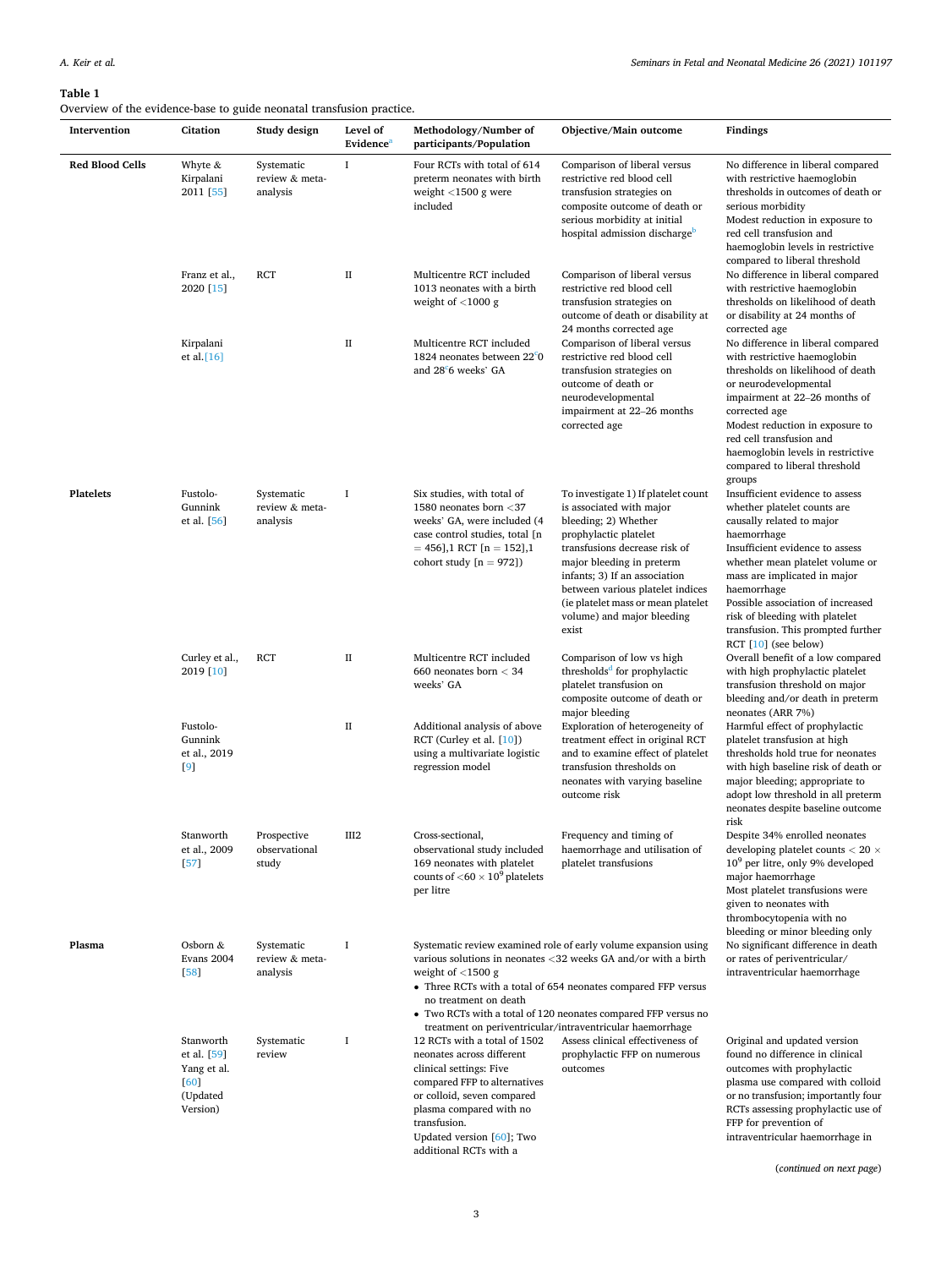# <span id="page-2-0"></span>**Table 1**

Overview of the evidence-base to guide neonatal transfusion practice.

| Intervention           | Citation                                                                | Study design                             | Level of<br>Evidence <sup>a</sup> | Methodology/Number of<br>participants/Population                                                                                                                                                                                                     | Objective/Main outcome                                                                                                                                                                                                                                                                                                           | Findings                                                                                                                                                                                                                                                                                                                                                                         |
|------------------------|-------------------------------------------------------------------------|------------------------------------------|-----------------------------------|------------------------------------------------------------------------------------------------------------------------------------------------------------------------------------------------------------------------------------------------------|----------------------------------------------------------------------------------------------------------------------------------------------------------------------------------------------------------------------------------------------------------------------------------------------------------------------------------|----------------------------------------------------------------------------------------------------------------------------------------------------------------------------------------------------------------------------------------------------------------------------------------------------------------------------------------------------------------------------------|
| <b>Red Blood Cells</b> | Whyte $\&$<br>Kirpalani<br>2011 [55]                                    | Systematic<br>review & meta-<br>analysis | 1                                 | Four RCTs with total of 614<br>preterm neonates with birth<br>weight $<$ 1500 g were<br>included                                                                                                                                                     | Comparison of liberal versus<br>restrictive red blood cell<br>transfusion strategies on<br>composite outcome of death or<br>serious morbidity at initial<br>hospital admission discharge <sup>b</sup>                                                                                                                            | No difference in liberal compared<br>with restrictive haemoglobin<br>thresholds in outcomes of death or<br>serious morbidity<br>Modest reduction in exposure to<br>red cell transfusion and<br>haemoglobin levels in restrictive<br>compared to liberal threshold                                                                                                                |
|                        | Franz et al.,<br>2020 [15]                                              | RCT                                      | П                                 | Multicentre RCT included<br>1013 neonates with a birth<br>weight of $<$ 1000 g                                                                                                                                                                       | Comparison of liberal versus<br>restrictive red blood cell<br>transfusion strategies on<br>outcome of death or disability at                                                                                                                                                                                                     | No difference in liberal compared<br>with restrictive haemoglobin<br>thresholds on likelihood of death<br>or disability at 24 months of                                                                                                                                                                                                                                          |
|                        | Kirpalani<br>et al. $[16]$                                              |                                          | П                                 | Multicentre RCT included<br>1824 neonates between 22°0<br>and 28 <sup>c</sup> 6 weeks' GA                                                                                                                                                            | 24 months corrected age<br>Comparison of liberal versus<br>restrictive red blood cell<br>transfusion strategies on<br>outcome of death or<br>neurodevelopmental<br>impairment at 22-26 months<br>corrected age                                                                                                                   | corrected age<br>No difference in liberal compared<br>with restrictive haemoglobin<br>thresholds on likelihood of death<br>or neurodevelopmental<br>impairment at 22–26 months of<br>corrected age<br>Modest reduction in exposure to<br>red cell transfusion and<br>haemoglobin levels in restrictive<br>compared to liberal threshold                                          |
| <b>Platelets</b>       | Fustolo-<br>Gunnink<br>et al. [56]                                      | Systematic<br>review & meta-<br>analysis | I                                 | Six studies, with total of<br>1580 neonates born <37<br>weeks' GA, were included (4<br>case control studies, total [n<br>$= 456$ ], 1 RCT [n = 152], 1<br>cohort study $[n = 972]$                                                                   | To investigate 1) If platelet count<br>is associated with major<br>bleeding; 2) Whether<br>prophylactic platelet<br>transfusions decrease risk of<br>major bleeding in preterm<br>infants; 3) If an association<br>between various platelet indices<br>(ie platelet mass or mean platelet<br>volume) and major bleeding<br>exist | groups<br>Insufficient evidence to assess<br>whether platelet counts are<br>causally related to major<br>haemorrhage<br>Insufficient evidence to assess<br>whether mean platelet volume or<br>mass are implicated in major<br>haemorrhage<br>Possible association of increased<br>risk of bleeding with platelet<br>transfusion. This prompted further<br>RCT $[10]$ (see below) |
|                        | Curley et al.,<br>2019 [10]                                             | RCT                                      | П                                 | Multicentre RCT included<br>660 neonates born $<$ 34<br>weeks' GA                                                                                                                                                                                    | Comparison of low vs high<br>thresholds <sup>d</sup> for prophylactic<br>platelet transfusion on<br>composite outcome of death or                                                                                                                                                                                                | Overall benefit of a low compared<br>with high prophylactic platelet<br>transfusion threshold on major<br>bleeding and/or death in preterm                                                                                                                                                                                                                                       |
|                        | Fustolo-<br>Gunnink<br>et al., 2019<br>[9]                              |                                          | П                                 | Additional analysis of above<br>RCT (Curley et al. [10])<br>using a multivariate logistic<br>regression model                                                                                                                                        | major bleeding<br>Exploration of heterogeneity of<br>treatment effect in original RCT<br>and to examine effect of platelet<br>transfusion thresholds on<br>neonates with varying baseline<br>outcome risk                                                                                                                        | neonates (ARR 7%)<br>Harmful effect of prophylactic<br>platelet transfusion at high<br>thresholds hold true for neonates<br>with high baseline risk of death or<br>major bleeding; appropriate to<br>adopt low threshold in all preterm<br>neonates despite baseline outcome<br>risk                                                                                             |
|                        | Stanworth<br>et al., 2009<br>$[57]$                                     | Prospective<br>observational<br>study    | III2                              | Cross-sectional,<br>observational study included<br>169 neonates with platelet<br>counts of $<$ 60 $\times$ 10 <sup>9</sup> platelets<br>per litre                                                                                                   | Frequency and timing of<br>haemorrhage and utilisation of<br>platelet transfusions                                                                                                                                                                                                                                               | Despite 34% enrolled neonates<br>developing platelet counts $< 20 \times$<br>$109$ per litre, only 9% developed<br>major haemorrhage<br>Most platelet transfusions were<br>given to neonates with<br>thrombocytopenia with no<br>bleeding or minor bleeding only                                                                                                                 |
| Plasma                 | Osborn $&$<br>Evans 2004<br>[58]                                        | Systematic<br>review & meta-<br>analysis | <b>I</b>                          | weight of $\langle$ 1500 g<br>no treatment on death                                                                                                                                                                                                  | Systematic review examined role of early volume expansion using<br>various solutions in neonates <32 weeks GA and/or with a birth<br>• Three RCTs with a total of 654 neonates compared FFP versus<br>• Two RCTs with a total of 120 neonates compared FFP versus no                                                             | No significant difference in death<br>or rates of periventricular/<br>intraventricular haemorrhage                                                                                                                                                                                                                                                                               |
|                        | Stanworth<br>et al. [59]<br>Yang et al.<br>[60]<br>(Updated<br>Version) | Systematic<br>review                     | I                                 | 12 RCTs with a total of 1502<br>neonates across different<br>clinical settings: Five<br>compared FFP to alternatives<br>or colloid, seven compared<br>plasma compared with no<br>transfusion.<br>Updated version [60]; Two<br>additional RCTs with a | treatment on periventricular/intraventricular haemorrhage<br>Assess clinical effectiveness of<br>prophylactic FFP on numerous<br>outcomes                                                                                                                                                                                        | Original and updated version<br>found no difference in clinical<br>outcomes with prophylactic<br>plasma use compared with colloid<br>or no transfusion; importantly four<br>RCTs assessing prophylactic use of<br>FFP for prevention of<br>intraventricular haemorrhage in                                                                                                       |

(*continued on next page*)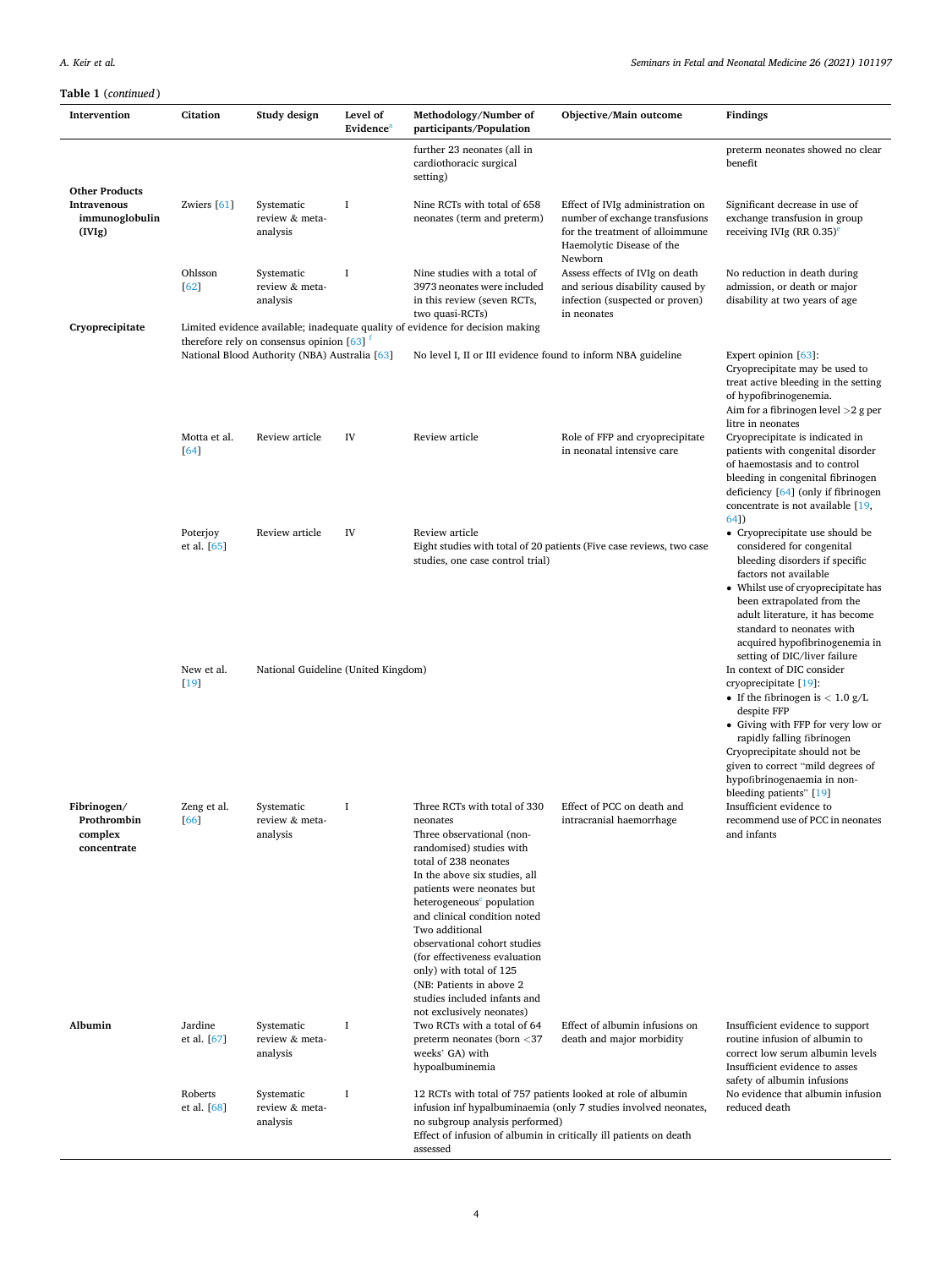| Intervention                                                     | Citation                  | Study design                                                         | Level of<br>Evidence <sup>a</sup> | Methodology/Number of<br>participants/Population                                                                                                                                                                                                                                                                                                                                                                                                                          | Objective/Main outcome                                                                                                                         | Findings                                                                                                                                                                                                                                                                                                         |
|------------------------------------------------------------------|---------------------------|----------------------------------------------------------------------|-----------------------------------|---------------------------------------------------------------------------------------------------------------------------------------------------------------------------------------------------------------------------------------------------------------------------------------------------------------------------------------------------------------------------------------------------------------------------------------------------------------------------|------------------------------------------------------------------------------------------------------------------------------------------------|------------------------------------------------------------------------------------------------------------------------------------------------------------------------------------------------------------------------------------------------------------------------------------------------------------------|
|                                                                  |                           |                                                                      |                                   | further 23 neonates (all in<br>cardiothoracic surgical<br>setting)                                                                                                                                                                                                                                                                                                                                                                                                        |                                                                                                                                                | preterm neonates showed no clear<br>benefit                                                                                                                                                                                                                                                                      |
| <b>Other Products</b><br>Intravenous<br>immunoglobulin<br>(IVIg) | Zwiers $[61]$             | Systematic<br>review & meta-<br>analysis                             | 1                                 | Nine RCTs with total of 658<br>neonates (term and preterm)                                                                                                                                                                                                                                                                                                                                                                                                                | Effect of IVIg administration on<br>number of exchange transfusions<br>for the treatment of alloimmune<br>Haemolytic Disease of the<br>Newborn | Significant decrease in use of<br>exchange transfusion in group<br>receiving IVIg (RR $0.35$ ) <sup>e</sup>                                                                                                                                                                                                      |
|                                                                  | Ohlsson<br>[62]           | Systematic<br>review & meta-<br>analysis                             | <b>I</b>                          | Nine studies with a total of<br>3973 neonates were included<br>in this review (seven RCTs,<br>two quasi-RCTs)                                                                                                                                                                                                                                                                                                                                                             | Assess effects of IVIg on death<br>and serious disability caused by<br>infection (suspected or proven)<br>in neonates                          | No reduction in death during<br>admission, or death or major<br>disability at two years of age                                                                                                                                                                                                                   |
| Cryoprecipitate                                                  |                           | therefore rely on consensus opinion $[63]$ <sup><math>T</math></sup> |                                   | Limited evidence available; inadequate quality of evidence for decision making                                                                                                                                                                                                                                                                                                                                                                                            |                                                                                                                                                |                                                                                                                                                                                                                                                                                                                  |
|                                                                  |                           | National Blood Authority (NBA) Australia [63]                        |                                   | No level I, II or III evidence found to inform NBA guideline                                                                                                                                                                                                                                                                                                                                                                                                              |                                                                                                                                                | Expert opinion [63]:<br>Cryoprecipitate may be used to<br>treat active bleeding in the setting<br>of hypofibrinogenemia.<br>Aim for a fibrinogen level $>2$ g per<br>litre in neonates                                                                                                                           |
|                                                                  | Motta et al.<br>$[64]$    | Review article                                                       | IV                                | Review article                                                                                                                                                                                                                                                                                                                                                                                                                                                            | Role of FFP and cryoprecipitate<br>in neonatal intensive care                                                                                  | Cryoprecipitate is indicated in<br>patients with congenital disorder<br>of haemostasis and to control<br>bleeding in congenital fibrinogen<br>deficiency [64] (only if fibrinogen<br>concentrate is not available [19,<br>64 <sup>J</sup>                                                                        |
|                                                                  | Poterjoy<br>et al. $[65]$ | Review article                                                       | IV                                | Review article<br>studies, one case control trial)                                                                                                                                                                                                                                                                                                                                                                                                                        | Eight studies with total of 20 patients (Five case reviews, two case                                                                           | • Cryoprecipitate use should be<br>considered for congenital<br>bleeding disorders if specific<br>factors not available<br>• Whilst use of cryoprecipitate has<br>been extrapolated from the<br>adult literature, it has become<br>standard to neonates with<br>acquired hypofibrinogenemia in                   |
|                                                                  | New et al.<br>$[19]$      | National Guideline (United Kingdom)                                  |                                   |                                                                                                                                                                                                                                                                                                                                                                                                                                                                           |                                                                                                                                                | setting of DIC/liver failure<br>In context of DIC consider<br>cryoprecipitate [19]:<br>• If the fibrinogen is $< 1.0$ g/L<br>despite FFP<br>• Giving with FFP for very low or<br>rapidly falling fibrinogen<br>Cryoprecipitate should not be<br>given to correct "mild degrees of<br>hypofibrinogenaemia in non- |
| Fibrinogen/<br>Prothrombin<br>complex<br>concentrate             | Zeng et al.<br>[66]       | Systematic<br>review & meta-<br>analysis                             | Ι.                                | Three RCTs with total of 330<br>neonates<br>Three observational (non-<br>randomised) studies with<br>total of 238 neonates<br>In the above six studies, all<br>patients were neonates but<br>heterogeneous <sup>c</sup> population<br>and clinical condition noted<br>Two additional<br>observational cohort studies<br>(for effectiveness evaluation<br>only) with total of 125<br>(NB: Patients in above 2<br>studies included infants and<br>not exclusively neonates) | Effect of PCC on death and<br>intracranial haemorrhage                                                                                         | bleeding patients" [19]<br>Insufficient evidence to<br>recommend use of PCC in neonates<br>and infants                                                                                                                                                                                                           |
| Albumin                                                          | Jardine<br>et al. [67]    | Systematic<br>review & meta-<br>analysis                             | <b>I</b>                          | Two RCTs with a total of 64<br>preterm neonates (born <37<br>weeks' GA) with<br>hypoalbuminemia                                                                                                                                                                                                                                                                                                                                                                           | Effect of albumin infusions on<br>death and major morbidity                                                                                    | Insufficient evidence to support<br>routine infusion of albumin to<br>correct low serum albumin levels<br>Insufficient evidence to asses<br>safety of albumin infusions                                                                                                                                          |
|                                                                  | Roberts<br>et al. [68]    | Systematic<br>review & meta-<br>analysis                             | <b>I</b>                          | 12 RCTs with total of 757 patients looked at role of albumin<br>infusion inf hypalbuminaemia (only 7 studies involved neonates,<br>no subgroup analysis performed)<br>Effect of infusion of albumin in critically ill patients on death<br>assessed                                                                                                                                                                                                                       | No evidence that albumin infusion<br>reduced death                                                                                             |                                                                                                                                                                                                                                                                                                                  |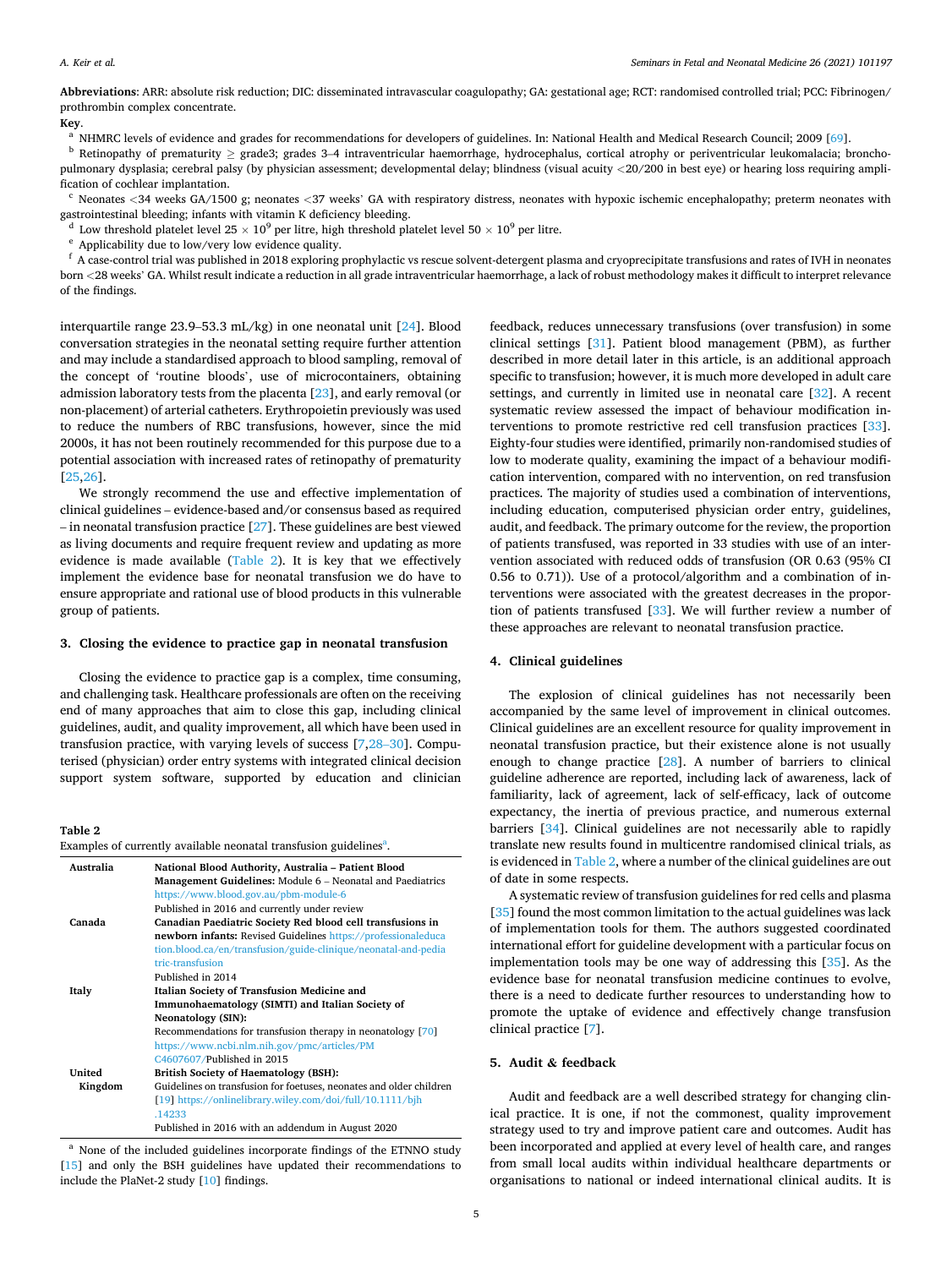<span id="page-4-0"></span>**Abbreviations**: ARR: absolute risk reduction; DIC: disseminated intravascular coagulopathy; GA: gestational age; RCT: randomised controlled trial; PCC: Fibrinogen/ prothrombin complex concentrate.

**Key.**<br><sup>a</sup> NHMRC levels of evidence and grades for recommendations for developers of guidelines. In: National Health and Medical Research Council; 2009 [[69\]](#page-8-0).<br><sup>b</sup> Retinopathy of prematurity > grade3; grades 3–4 intraventri

pulmonary dysplasia; cerebral palsy (by physician assessment; developmental delay; blindness (visual acuity *<*20/200 in best eye) or hearing loss requiring ampli-

fication of cochlear implantation.<br><sup>c</sup> Neonates <34 weeks GA/1500 g; neonates <37 weeks' GA with respiratory distress, neonates with hypoxic ischemic encephalopathy; preterm neonates with

gastrointestinal bleeding; infants with vitamin K deficiency bleeding.<br><sup>d</sup> Low threshold platelet level 25 × 10<sup>9</sup> per litre, high threshold platelet level 50 × 10<sup>9</sup> per litre.<br><sup>e</sup> Applicability due to low/very low evide born *<*28 weeks' GA. Whilst result indicate a reduction in all grade intraventricular haemorrhage, a lack of robust methodology makes it difficult to interpret relevance of the findings.

interquartile range 23.9–53.3 mL/kg) in one neonatal unit [\[24](#page-7-0)]. Blood conversation strategies in the neonatal setting require further attention and may include a standardised approach to blood sampling, removal of the concept of 'routine bloods', use of microcontainers, obtaining admission laboratory tests from the placenta [\[23](#page-7-0)], and early removal (or non-placement) of arterial catheters. Erythropoietin previously was used to reduce the numbers of RBC transfusions, however, since the mid 2000s, it has not been routinely recommended for this purpose due to a potential association with increased rates of retinopathy of prematurity [[25,26](#page-7-0)].

We strongly recommend the use and effective implementation of clinical guidelines – evidence-based and/or consensus based as required – in neonatal transfusion practice [\[27](#page-7-0)]. These guidelines are best viewed as living documents and require frequent review and updating as more evidence is made available (Table 2). It is key that we effectively implement the evidence base for neonatal transfusion we do have to ensure appropriate and rational use of blood products in this vulnerable group of patients.

#### **3. Closing the evidence to practice gap in neonatal transfusion**

Closing the evidence to practice gap is a complex, time consuming, and challenging task. Healthcare professionals are often on the receiving end of many approaches that aim to close this gap, including clinical guidelines, audit, and quality improvement, all which have been used in transfusion practice, with varying levels of success [\[7,](#page-7-0)28–[30\]](#page-7-0). Computerised (physician) order entry systems with integrated clinical decision support system software, supported by education and clinician

**Table 2** 

| Australia | National Blood Authority, Australia - Patient Blood<br>Management Guidelines: Module 6 – Neonatal and Paediatrics<br>https://www.blood.gov.au/pbm-module-6 |
|-----------|------------------------------------------------------------------------------------------------------------------------------------------------------------|
|           | Published in 2016 and currently under review                                                                                                               |
| Canada    | Canadian Paediatric Society Red blood cell transfusions in                                                                                                 |
|           | <b>newborn infants:</b> Revised Guidelines https://professionaleduca                                                                                       |
|           | tion.blood.ca/en/transfusion/guide-clinique/neonatal-and-pedia                                                                                             |
|           | tric-transfusion                                                                                                                                           |
|           | Published in 2014                                                                                                                                          |
| Italy     | Italian Society of Transfusion Medicine and                                                                                                                |
|           | Immunohaematology (SIMTI) and Italian Society of                                                                                                           |
|           | <b>Neonatology (SIN):</b>                                                                                                                                  |
|           | Recommendations for transfusion therapy in neonatology [70]                                                                                                |
|           | https://www.ncbi.nlm.nih.gov/pmc/articles/PM                                                                                                               |
|           | C4607607/Published in 2015                                                                                                                                 |
| United    | <b>British Society of Haematology (BSH):</b>                                                                                                               |
| Kingdom   | Guidelines on transfusion for foetuses, neonates and older children                                                                                        |
|           | [19] https://onlinelibrary.wiley.com/doi/full/10.1111/bjh                                                                                                  |
|           | .14233                                                                                                                                                     |
|           | Published in 2016 with an addendum in August 2020                                                                                                          |

<sup>a</sup> None of the included guidelines incorporate findings of the ETNNO study [[15\]](#page-7-0) and only the BSH guidelines have updated their recommendations to include the PlaNet-2 study [\[10](#page-7-0)] findings.

feedback, reduces unnecessary transfusions (over transfusion) in some clinical settings [[31\]](#page-7-0). Patient blood management (PBM), as further described in more detail later in this article, is an additional approach specific to transfusion; however, it is much more developed in adult care settings, and currently in limited use in neonatal care [\[32](#page-7-0)]. A recent systematic review assessed the impact of behaviour modification interventions to promote restrictive red cell transfusion practices [\[33](#page-7-0)]. Eighty-four studies were identified, primarily non-randomised studies of low to moderate quality, examining the impact of a behaviour modification intervention, compared with no intervention, on red transfusion practices. The majority of studies used a combination of interventions, including education, computerised physician order entry, guidelines, audit, and feedback. The primary outcome for the review, the proportion of patients transfused, was reported in 33 studies with use of an intervention associated with reduced odds of transfusion (OR 0.63 (95% CI 0.56 to 0.71)). Use of a protocol/algorithm and a combination of interventions were associated with the greatest decreases in the proportion of patients transfused [\[33](#page-7-0)]. We will further review a number of these approaches are relevant to neonatal transfusion practice.

#### **4. Clinical guidelines**

The explosion of clinical guidelines has not necessarily been accompanied by the same level of improvement in clinical outcomes. Clinical guidelines are an excellent resource for quality improvement in neonatal transfusion practice, but their existence alone is not usually enough to change practice [\[28](#page-7-0)]. A number of barriers to clinical guideline adherence are reported, including lack of awareness, lack of familiarity, lack of agreement, lack of self-efficacy, lack of outcome expectancy, the inertia of previous practice, and numerous external barriers [\[34](#page-7-0)]. Clinical guidelines are not necessarily able to rapidly translate new results found in multicentre randomised clinical trials, as is evidenced in Table 2, where a number of the clinical guidelines are out of date in some respects.

A systematic review of transfusion guidelines for red cells and plasma [[35\]](#page-7-0) found the most common limitation to the actual guidelines was lack of implementation tools for them. The authors suggested coordinated international effort for guideline development with a particular focus on implementation tools may be one way of addressing this [\[35](#page-7-0)]. As the evidence base for neonatal transfusion medicine continues to evolve, there is a need to dedicate further resources to understanding how to promote the uptake of evidence and effectively change transfusion clinical practice [\[7\]](#page-7-0).

#### **5. Audit & feedback**

Audit and feedback are a well described strategy for changing clinical practice. It is one, if not the commonest, quality improvement strategy used to try and improve patient care and outcomes. Audit has been incorporated and applied at every level of health care, and ranges from small local audits within individual healthcare departments or organisations to national or indeed international clinical audits. It is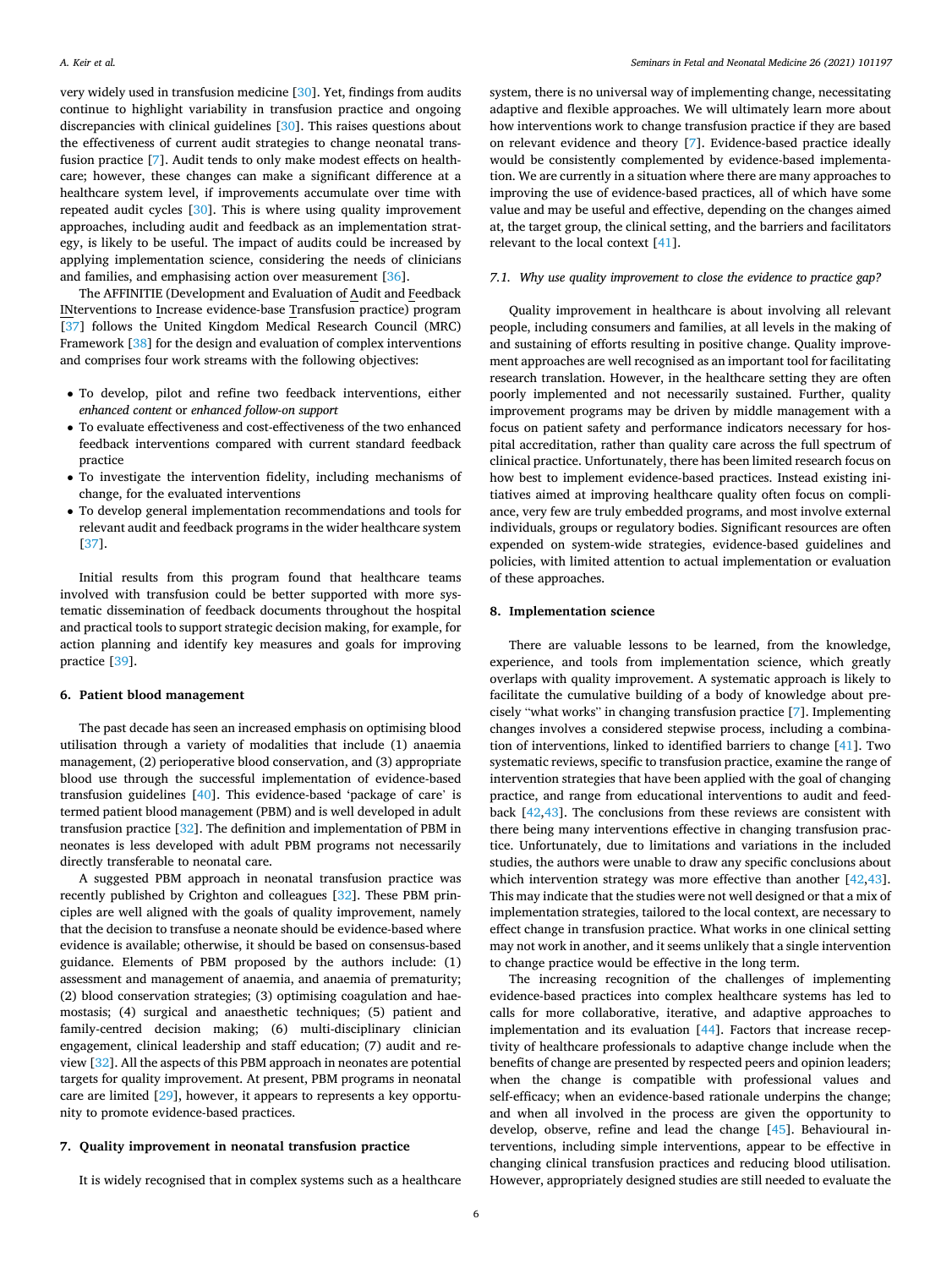very widely used in transfusion medicine [\[30](#page-7-0)]. Yet, findings from audits continue to highlight variability in transfusion practice and ongoing discrepancies with clinical guidelines [[30\]](#page-7-0). This raises questions about the effectiveness of current audit strategies to change neonatal transfusion practice [\[7\]](#page-7-0). Audit tends to only make modest effects on healthcare; however, these changes can make a significant difference at a healthcare system level, if improvements accumulate over time with repeated audit cycles [[30\]](#page-7-0). This is where using quality improvement approaches, including audit and feedback as an implementation strategy, is likely to be useful. The impact of audits could be increased by applying implementation science, considering the needs of clinicians and families, and emphasising action over measurement [\[36](#page-7-0)].

The AFFINITIE (Development and Evaluation of Audit and Feedback INterventions to Increase evidence-base Transfusion practice) program [[37\]](#page-7-0) follows the United Kingdom Medical Research Council (MRC) Framework [\[38](#page-7-0)] for the design and evaluation of complex interventions and comprises four work streams with the following objectives:

- To develop, pilot and refine two feedback interventions, either *enhanced content* or *enhanced follow-on support*
- To evaluate effectiveness and cost-effectiveness of the two enhanced feedback interventions compared with current standard feedback practice
- To investigate the intervention fidelity, including mechanisms of change, for the evaluated interventions
- To develop general implementation recommendations and tools for relevant audit and feedback programs in the wider healthcare system [[37\]](#page-7-0).

Initial results from this program found that healthcare teams involved with transfusion could be better supported with more systematic dissemination of feedback documents throughout the hospital and practical tools to support strategic decision making, for example, for action planning and identify key measures and goals for improving practice [\[39](#page-7-0)].

# **6. Patient blood management**

The past decade has seen an increased emphasis on optimising blood utilisation through a variety of modalities that include (1) anaemia management, (2) perioperative blood conservation, and (3) appropriate blood use through the successful implementation of evidence-based transfusion guidelines [\[40](#page-7-0)]. This evidence-based 'package of care' is termed patient blood management (PBM) and is well developed in adult transfusion practice [\[32](#page-7-0)]. The definition and implementation of PBM in neonates is less developed with adult PBM programs not necessarily directly transferable to neonatal care.

A suggested PBM approach in neonatal transfusion practice was recently published by Crighton and colleagues [\[32](#page-7-0)]. These PBM principles are well aligned with the goals of quality improvement, namely that the decision to transfuse a neonate should be evidence-based where evidence is available; otherwise, it should be based on consensus-based guidance. Elements of PBM proposed by the authors include: (1) assessment and management of anaemia, and anaemia of prematurity; (2) blood conservation strategies; (3) optimising coagulation and haemostasis; (4) surgical and anaesthetic techniques; (5) patient and family-centred decision making; (6) multi-disciplinary clinician engagement, clinical leadership and staff education; (7) audit and review [\[32](#page-7-0)]. All the aspects of this PBM approach in neonates are potential targets for quality improvement. At present, PBM programs in neonatal care are limited [\[29](#page-7-0)], however, it appears to represents a key opportunity to promote evidence-based practices.

# **7. Quality improvement in neonatal transfusion practice**

It is widely recognised that in complex systems such as a healthcare

system, there is no universal way of implementing change, necessitating adaptive and flexible approaches. We will ultimately learn more about how interventions work to change transfusion practice if they are based on relevant evidence and theory [\[7\]](#page-7-0). Evidence-based practice ideally would be consistently complemented by evidence-based implementation. We are currently in a situation where there are many approaches to improving the use of evidence-based practices, all of which have some value and may be useful and effective, depending on the changes aimed at, the target group, the clinical setting, and the barriers and facilitators relevant to the local context [[41\]](#page-7-0).

# *7.1. Why use quality improvement to close the evidence to practice gap?*

Quality improvement in healthcare is about involving all relevant people, including consumers and families, at all levels in the making of and sustaining of efforts resulting in positive change. Quality improvement approaches are well recognised as an important tool for facilitating research translation. However, in the healthcare setting they are often poorly implemented and not necessarily sustained. Further, quality improvement programs may be driven by middle management with a focus on patient safety and performance indicators necessary for hospital accreditation, rather than quality care across the full spectrum of clinical practice. Unfortunately, there has been limited research focus on how best to implement evidence-based practices. Instead existing initiatives aimed at improving healthcare quality often focus on compliance, very few are truly embedded programs, and most involve external individuals, groups or regulatory bodies. Significant resources are often expended on system-wide strategies, evidence-based guidelines and policies, with limited attention to actual implementation or evaluation of these approaches.

# **8. Implementation science**

There are valuable lessons to be learned, from the knowledge, experience, and tools from implementation science, which greatly overlaps with quality improvement. A systematic approach is likely to facilitate the cumulative building of a body of knowledge about precisely "what works" in changing transfusion practice [\[7\]](#page-7-0). Implementing changes involves a considered stepwise process, including a combination of interventions, linked to identified barriers to change [\[41](#page-7-0)]. Two systematic reviews, specific to transfusion practice, examine the range of intervention strategies that have been applied with the goal of changing practice, and range from educational interventions to audit and feedback [\[42](#page-8-0),[43\]](#page-8-0). The conclusions from these reviews are consistent with there being many interventions effective in changing transfusion practice. Unfortunately, due to limitations and variations in the included studies, the authors were unable to draw any specific conclusions about which intervention strategy was more effective than another [[42,43](#page-8-0)]. This may indicate that the studies were not well designed or that a mix of implementation strategies, tailored to the local context, are necessary to effect change in transfusion practice. What works in one clinical setting may not work in another, and it seems unlikely that a single intervention to change practice would be effective in the long term.

The increasing recognition of the challenges of implementing evidence-based practices into complex healthcare systems has led to calls for more collaborative, iterative, and adaptive approaches to implementation and its evaluation [[44\]](#page-8-0). Factors that increase receptivity of healthcare professionals to adaptive change include when the benefits of change are presented by respected peers and opinion leaders; when the change is compatible with professional values and self-efficacy; when an evidence-based rationale underpins the change; and when all involved in the process are given the opportunity to develop, observe, refine and lead the change [[45\]](#page-8-0). Behavioural interventions, including simple interventions, appear to be effective in changing clinical transfusion practices and reducing blood utilisation. However, appropriately designed studies are still needed to evaluate the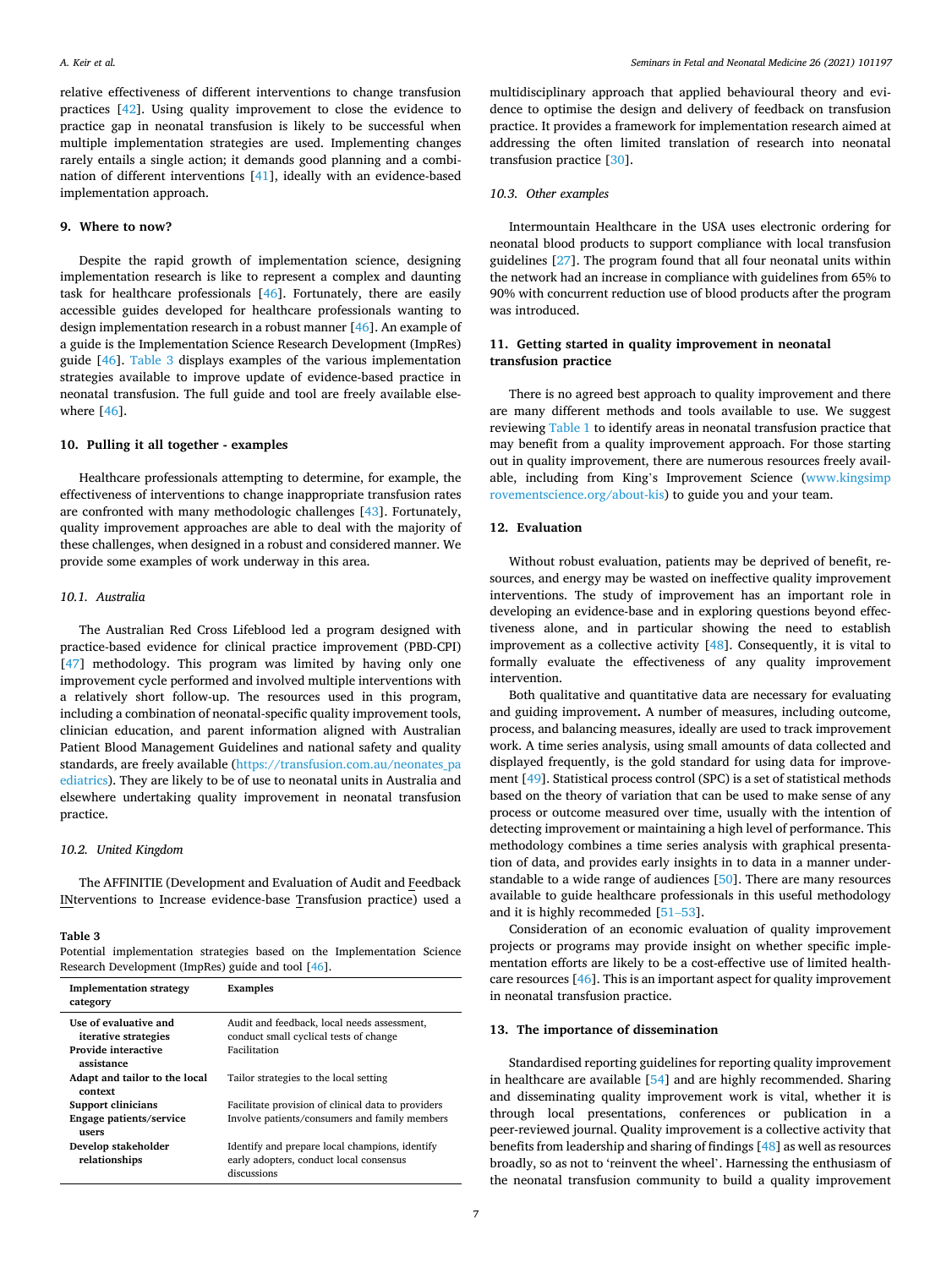relative effectiveness of different interventions to change transfusion practices [\[42](#page-8-0)]. Using quality improvement to close the evidence to practice gap in neonatal transfusion is likely to be successful when multiple implementation strategies are used. Implementing changes rarely entails a single action; it demands good planning and a combination of different interventions [[41\]](#page-7-0), ideally with an evidence-based implementation approach.

#### **9. Where to now?**

Despite the rapid growth of implementation science, designing implementation research is like to represent a complex and daunting task for healthcare professionals [[46\]](#page-8-0). Fortunately, there are easily accessible guides developed for healthcare professionals wanting to design implementation research in a robust manner [\[46](#page-8-0)]. An example of a guide is the Implementation Science Research Development (ImpRes) guide [[46\]](#page-8-0). Table 3 displays examples of the various implementation strategies available to improve update of evidence-based practice in neonatal transfusion. The full guide and tool are freely available elsewhere [\[46](#page-8-0)].

# **10. Pulling it all together - examples**

Healthcare professionals attempting to determine, for example, the effectiveness of interventions to change inappropriate transfusion rates are confronted with many methodologic challenges [\[43](#page-8-0)]. Fortunately, quality improvement approaches are able to deal with the majority of these challenges, when designed in a robust and considered manner. We provide some examples of work underway in this area.

# *10.1. Australia*

The Australian Red Cross Lifeblood led a program designed with practice-based evidence for clinical practice improvement (PBD-CPI) [[47\]](#page-8-0) methodology. This program was limited by having only one improvement cycle performed and involved multiple interventions with a relatively short follow-up. The resources used in this program, including a combination of neonatal-specific quality improvement tools, clinician education, and parent information aligned with Australian Patient Blood Management Guidelines and national safety and quality standards, are freely available ([https://transfusion.com.au/neonates\\_pa](https://transfusion.com.au/neonates_paediatrics)  [ediatrics\)](https://transfusion.com.au/neonates_paediatrics). They are likely to be of use to neonatal units in Australia and elsewhere undertaking quality improvement in neonatal transfusion practice.

# *10.2. United Kingdom*

The AFFINITIE (Development and Evaluation of Audit and Feedback INterventions to Increase evidence-base Transfusion practice) used a

#### **Table 3**

Potential implementation strategies based on the Implementation Science Research Development (ImpRes) guide and tool [[46\]](#page-8-0).

| <b>Implementation strategy</b><br>category           | Examples                                                                                                 |
|------------------------------------------------------|----------------------------------------------------------------------------------------------------------|
| Use of evaluative and<br><i>iterative strategies</i> | Audit and feedback, local needs assessment,<br>conduct small cyclical tests of change                    |
| Provide interactive<br>assistance                    | Facilitation                                                                                             |
| Adapt and tailor to the local<br>context             | Tailor strategies to the local setting                                                                   |
| <b>Support clinicians</b>                            | Facilitate provision of clinical data to providers                                                       |
| Engage patients/service<br>users                     | Involve patients/consumers and family members                                                            |
| Develop stakeholder<br>relationships                 | Identify and prepare local champions, identify<br>early adopters, conduct local consensus<br>discussions |

multidisciplinary approach that applied behavioural theory and evidence to optimise the design and delivery of feedback on transfusion practice. It provides a framework for implementation research aimed at addressing the often limited translation of research into neonatal transfusion practice [[30\]](#page-7-0).

#### *10.3. Other examples*

Intermountain Healthcare in the USA uses electronic ordering for neonatal blood products to support compliance with local transfusion guidelines [\[27](#page-7-0)]. The program found that all four neonatal units within the network had an increase in compliance with guidelines from 65% to 90% with concurrent reduction use of blood products after the program was introduced.

# **11. Getting started in quality improvement in neonatal transfusion practice**

There is no agreed best approach to quality improvement and there are many different methods and tools available to use. We suggest reviewing [Table 1](#page-2-0) to identify areas in neonatal transfusion practice that may benefit from a quality improvement approach. For those starting out in quality improvement, there are numerous resources freely available, including from King's Improvement Science ([www.kingsimp](http://www.kingsimprovementscience.org/about-kis)  [rovementscience.org/about-kis\)](http://www.kingsimprovementscience.org/about-kis) to guide you and your team.

# **12. Evaluation**

Without robust evaluation, patients may be deprived of benefit, resources, and energy may be wasted on ineffective quality improvement interventions. The study of improvement has an important role in developing an evidence-base and in exploring questions beyond effectiveness alone, and in particular showing the need to establish improvement as a collective activity [\[48](#page-8-0)]. Consequently, it is vital to formally evaluate the effectiveness of any quality improvement intervention.

Both qualitative and quantitative data are necessary for evaluating and guiding improvement**.** A number of measures, including outcome, process, and balancing measures, ideally are used to track improvement work. A time series analysis, using small amounts of data collected and displayed frequently, is the gold standard for using data for improvement [[49\]](#page-8-0). Statistical process control (SPC) is a set of statistical methods based on the theory of variation that can be used to make sense of any process or outcome measured over time, usually with the intention of detecting improvement or maintaining a high level of performance. This methodology combines a time series analysis with graphical presentation of data, and provides early insights in to data in a manner understandable to a wide range of audiences [[50\]](#page-8-0). There are many resources available to guide healthcare professionals in this useful methodology and it is highly recommeded [\[51](#page-8-0)–53].

Consideration of an economic evaluation of quality improvement projects or programs may provide insight on whether specific implementation efforts are likely to be a cost-effective use of limited healthcare resources [\[46](#page-8-0)]. This is an important aspect for quality improvement in neonatal transfusion practice.

#### **13. The importance of dissemination**

Standardised reporting guidelines for reporting quality improvement in healthcare are available [[54\]](#page-8-0) and are highly recommended. Sharing and disseminating quality improvement work is vital, whether it is through local presentations, conferences or publication in a peer-reviewed journal. Quality improvement is a collective activity that benefits from leadership and sharing of findings [[48\]](#page-8-0) as well as resources broadly, so as not to 'reinvent the wheel'. Harnessing the enthusiasm of the neonatal transfusion community to build a quality improvement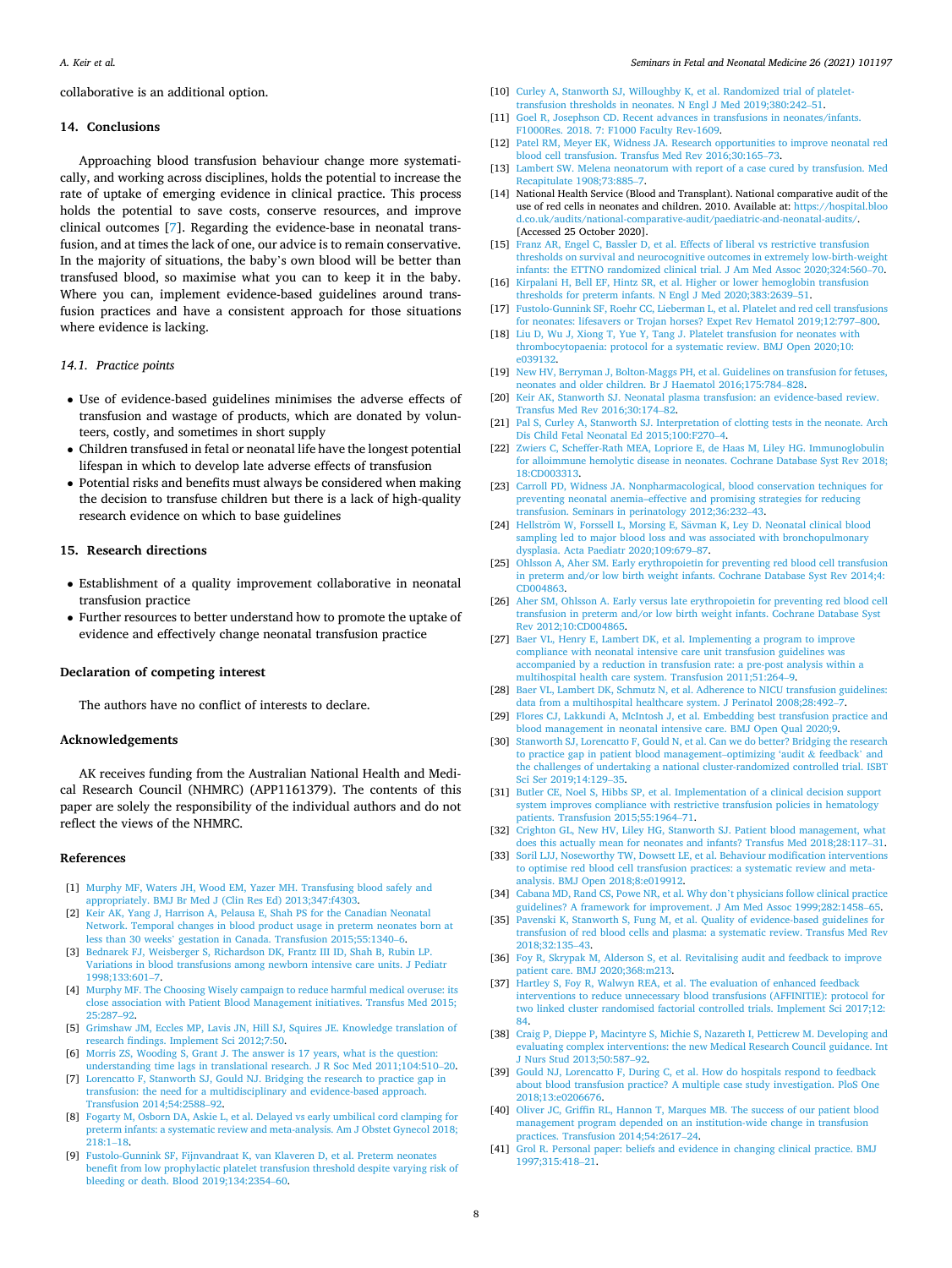<span id="page-7-0"></span>collaborative is an additional option.

### **14. Conclusions**

Approaching blood transfusion behaviour change more systematically, and working across disciplines, holds the potential to increase the rate of uptake of emerging evidence in clinical practice. This process holds the potential to save costs, conserve resources, and improve clinical outcomes [7]. Regarding the evidence-base in neonatal transfusion, and at times the lack of one, our advice is to remain conservative. In the majority of situations, the baby's own blood will be better than transfused blood, so maximise what you can to keep it in the baby. Where you can, implement evidence-based guidelines around transfusion practices and have a consistent approach for those situations where evidence is lacking.

# *14.1. Practice points*

- Use of evidence-based guidelines minimises the adverse effects of transfusion and wastage of products, which are donated by volunteers, costly, and sometimes in short supply
- Children transfused in fetal or neonatal life have the longest potential lifespan in which to develop late adverse effects of transfusion
- Potential risks and benefits must always be considered when making the decision to transfuse children but there is a lack of high-quality research evidence on which to base guidelines

### **15. Research directions**

- Establishment of a quality improvement collaborative in neonatal transfusion practice
- Further resources to better understand how to promote the uptake of evidence and effectively change neonatal transfusion practice

# **Declaration of competing interest**

The authors have no conflict of interests to declare.

# **Acknowledgements**

AK receives funding from the Australian National Health and Medical Research Council (NHMRC) (APP1161379). The contents of this paper are solely the responsibility of the individual authors and do not reflect the views of the NHMRC.

#### **References**

- [1] [Murphy MF, Waters JH, Wood EM, Yazer MH. Transfusing blood safely and](http://refhub.elsevier.com/S1744-165X(21)00005-6/sref1)  [appropriately. BMJ Br Med J \(Clin Res Ed\) 2013;347:f4303.](http://refhub.elsevier.com/S1744-165X(21)00005-6/sref1)
- [2] [Keir AK, Yang J, Harrison A, Pelausa E, Shah PS for the Canadian Neonatal](http://refhub.elsevier.com/S1744-165X(21)00005-6/sref2)  [Network. Temporal changes in blood product usage in preterm neonates born at](http://refhub.elsevier.com/S1744-165X(21)00005-6/sref2)  less than 30 weeks' [gestation in Canada. Transfusion 2015;55:1340](http://refhub.elsevier.com/S1744-165X(21)00005-6/sref2)–6.
- [3] [Bednarek FJ, Weisberger S, Richardson DK, Frantz III ID, Shah B, Rubin LP.](http://refhub.elsevier.com/S1744-165X(21)00005-6/sref3)  [Variations in blood transfusions among newborn intensive care units. J Pediatr](http://refhub.elsevier.com/S1744-165X(21)00005-6/sref3)  [1998;133:601](http://refhub.elsevier.com/S1744-165X(21)00005-6/sref3)–7.
- [4] [Murphy MF. The Choosing Wisely campaign to reduce harmful medical overuse: its](http://refhub.elsevier.com/S1744-165X(21)00005-6/sref4)  [close association with Patient Blood Management initiatives. Transfus Med 2015;](http://refhub.elsevier.com/S1744-165X(21)00005-6/sref4)  [25:287](http://refhub.elsevier.com/S1744-165X(21)00005-6/sref4)–92.
- [5] [Grimshaw JM, Eccles MP, Lavis JN, Hill SJ, Squires JE. Knowledge translation of](http://refhub.elsevier.com/S1744-165X(21)00005-6/sref5)  [research findings. Implement Sci 2012;7:50.](http://refhub.elsevier.com/S1744-165X(21)00005-6/sref5)
- [6] [Morris ZS, Wooding S, Grant J. The answer is 17 years, what is the question:](http://refhub.elsevier.com/S1744-165X(21)00005-6/sref6) [understanding time lags in translational research. J R Soc Med 2011;104:510](http://refhub.elsevier.com/S1744-165X(21)00005-6/sref6)–20.
- [7] [Lorencatto F, Stanworth SJ, Gould NJ. Bridging the research to practice gap in](http://refhub.elsevier.com/S1744-165X(21)00005-6/sref7) [transfusion: the need for a multidisciplinary and evidence-based approach.](http://refhub.elsevier.com/S1744-165X(21)00005-6/sref7) [Transfusion 2014;54:2588](http://refhub.elsevier.com/S1744-165X(21)00005-6/sref7)–92.
- [8] [Fogarty M, Osborn DA, Askie L, et al. Delayed vs early umbilical cord clamping for](http://refhub.elsevier.com/S1744-165X(21)00005-6/sref8)  [preterm infants: a systematic review and meta-analysis. Am J Obstet Gynecol 2018;](http://refhub.elsevier.com/S1744-165X(21)00005-6/sref8)  [218:1](http://refhub.elsevier.com/S1744-165X(21)00005-6/sref8)–18.
- [9] [Fustolo-Gunnink SF, Fijnvandraat K, van Klaveren D, et al. Preterm neonates](http://refhub.elsevier.com/S1744-165X(21)00005-6/sref9) [benefit from low prophylactic platelet transfusion threshold despite varying risk of](http://refhub.elsevier.com/S1744-165X(21)00005-6/sref9)  [bleeding or death. Blood 2019;134:2354](http://refhub.elsevier.com/S1744-165X(21)00005-6/sref9)–60.
- [10] [Curley A, Stanworth SJ, Willoughby K, et al. Randomized trial of platelet](http://refhub.elsevier.com/S1744-165X(21)00005-6/sref10)[transfusion thresholds in neonates. N Engl J Med 2019;380:242](http://refhub.elsevier.com/S1744-165X(21)00005-6/sref10)–51.
- [11] [Goel R, Josephson CD. Recent advances in transfusions in neonates/infants.](http://refhub.elsevier.com/S1744-165X(21)00005-6/sref11) [F1000Res. 2018. 7: F1000 Faculty Rev-1609](http://refhub.elsevier.com/S1744-165X(21)00005-6/sref11).
- [12] [Patel RM, Meyer EK, Widness JA. Research opportunities to improve neonatal red](http://refhub.elsevier.com/S1744-165X(21)00005-6/sref12)  [blood cell transfusion. Transfus Med Rev 2016;30:165](http://refhub.elsevier.com/S1744-165X(21)00005-6/sref12)–73.
- [13] [Lambert SW. Melena neonatorum with report of a case cured by transfusion. Med](http://refhub.elsevier.com/S1744-165X(21)00005-6/sref13)  [Recapitulate 1908;73:885](http://refhub.elsevier.com/S1744-165X(21)00005-6/sref13)–7.
- [14] National Health Service (Blood and Transplant). National comparative audit of the use of red cells in neonates and children. 2010. Available at: [https://hospital.bloo](https://hospital.blood.co.uk/audits/national-comparative-audit/paediatric-and-neonatal-audits/)  [d.co.uk/audits/national-comparative-audit/paediatric-and-neonatal-audits/.](https://hospital.blood.co.uk/audits/national-comparative-audit/paediatric-and-neonatal-audits/) [Accessed 25 October 2020].
- [15] [Franz AR, Engel C, Bassler D, et al. Effects of liberal vs restrictive transfusion](http://refhub.elsevier.com/S1744-165X(21)00005-6/sref15) [thresholds on survival and neurocognitive outcomes in extremely low-birth-weight](http://refhub.elsevier.com/S1744-165X(21)00005-6/sref15)  [infants: the ETTNO randomized clinical trial. J Am Med Assoc 2020;324:560](http://refhub.elsevier.com/S1744-165X(21)00005-6/sref15)–70. [16] [Kirpalani H, Bell EF, Hintz SR, et al. Higher or lower hemoglobin transfusion](http://refhub.elsevier.com/S1744-165X(21)00005-6/sref16)
- [thresholds for preterm infants. N Engl J Med 2020;383:2639](http://refhub.elsevier.com/S1744-165X(21)00005-6/sref16)–51.
- [17] [Fustolo-Gunnink SF, Roehr CC, Lieberman L, et al. Platelet and red cell transfusions](http://refhub.elsevier.com/S1744-165X(21)00005-6/sref17)  [for neonates: lifesavers or Trojan horses? Expet Rev Hematol 2019;12:797](http://refhub.elsevier.com/S1744-165X(21)00005-6/sref17)–800.
- [18] [Liu D, Wu J, Xiong T, Yue Y, Tang J. Platelet transfusion for neonates with](http://refhub.elsevier.com/S1744-165X(21)00005-6/sref18) [thrombocytopaenia: protocol for a systematic review. BMJ Open 2020;10:](http://refhub.elsevier.com/S1744-165X(21)00005-6/sref18)  [e039132.](http://refhub.elsevier.com/S1744-165X(21)00005-6/sref18)
- [19] [New HV, Berryman J, Bolton-Maggs PH, et al. Guidelines on transfusion for fetuses,](http://refhub.elsevier.com/S1744-165X(21)00005-6/sref19)  [neonates and older children. Br J Haematol 2016;175:784](http://refhub.elsevier.com/S1744-165X(21)00005-6/sref19)–828.
- [20] [Keir AK, Stanworth SJ. Neonatal plasma transfusion: an evidence-based review.](http://refhub.elsevier.com/S1744-165X(21)00005-6/sref20) [Transfus Med Rev 2016;30:174](http://refhub.elsevier.com/S1744-165X(21)00005-6/sref20)–82.
- [21] Pal S, Curley A, Stanworth SJ. Interpretation of clotting tests in the neonate. Arch [Dis Child Fetal Neonatal Ed 2015;100:F270](http://refhub.elsevier.com/S1744-165X(21)00005-6/sref21)–4.
- [22] [Zwiers C, Scheffer-Rath MEA, Lopriore E, de Haas M, Liley HG. Immunoglobulin](http://refhub.elsevier.com/S1744-165X(21)00005-6/sref22) [for alloimmune hemolytic disease in neonates. Cochrane Database Syst Rev 2018;](http://refhub.elsevier.com/S1744-165X(21)00005-6/sref22)  [18:CD003313](http://refhub.elsevier.com/S1744-165X(21)00005-6/sref22).
- [23] [Carroll PD, Widness JA. Nonpharmacological, blood conservation techniques for](http://refhub.elsevier.com/S1744-165X(21)00005-6/sref23)  [preventing neonatal anemia–effective and promising strategies for reducing](http://refhub.elsevier.com/S1744-165X(21)00005-6/sref23)  [transfusion. Seminars in perinatology 2012;36:232](http://refhub.elsevier.com/S1744-165X(21)00005-6/sref23)–43.
- [24] Hellström W, Forssell L, Morsing E, Sävman K, Ley D. Neonatal clinical blood sampling led to major blood loss and was associated with bronchopulmonary [dysplasia. Acta Paediatr 2020;109:679](http://refhub.elsevier.com/S1744-165X(21)00005-6/sref24)–87.
- [25] Ohlsson A, Aher SM. Early erythropoietin for preventing red blood cell transfusion [in preterm and/or low birth weight infants. Cochrane Database Syst Rev 2014;4:](http://refhub.elsevier.com/S1744-165X(21)00005-6/sref25) [CD004863](http://refhub.elsevier.com/S1744-165X(21)00005-6/sref25).
- [26] [Aher SM, Ohlsson A. Early versus late erythropoietin for preventing red blood cell](http://refhub.elsevier.com/S1744-165X(21)00005-6/sref26)  [transfusion in preterm and/or low birth weight infants. Cochrane Database Syst](http://refhub.elsevier.com/S1744-165X(21)00005-6/sref26) [Rev 2012;10:CD004865.](http://refhub.elsevier.com/S1744-165X(21)00005-6/sref26)
- [27] [Baer VL, Henry E, Lambert DK, et al. Implementing a program to improve](http://refhub.elsevier.com/S1744-165X(21)00005-6/sref27) [compliance with neonatal intensive care unit transfusion guidelines was](http://refhub.elsevier.com/S1744-165X(21)00005-6/sref27)  [accompanied by a reduction in transfusion rate: a pre-post analysis within a](http://refhub.elsevier.com/S1744-165X(21)00005-6/sref27)  [multihospital health care system. Transfusion 2011;51:264](http://refhub.elsevier.com/S1744-165X(21)00005-6/sref27)–9.
- [28] Baer VL, Lambert DK, Schmutz N, et al. Adherence to NICU transfusion guidelines: [data from a multihospital healthcare system. J Perinatol 2008;28:492](http://refhub.elsevier.com/S1744-165X(21)00005-6/sref28)–7.
- [29] [Flores CJ, Lakkundi A, McIntosh J, et al. Embedding best transfusion practice and](http://refhub.elsevier.com/S1744-165X(21)00005-6/sref29)  [blood management in neonatal intensive care. BMJ Open Qual 2020;9](http://refhub.elsevier.com/S1744-165X(21)00005-6/sref29).
- [30] [Stanworth SJ, Lorencatto F, Gould N, et al. Can we do better? Bridging the research](http://refhub.elsevier.com/S1744-165X(21)00005-6/sref30)  [to practice gap in patient blood management](http://refhub.elsevier.com/S1744-165X(21)00005-6/sref30)–optimizing 'audit  $\&$  feedback' and [the challenges of undertaking a national cluster-randomized controlled trial. ISBT](http://refhub.elsevier.com/S1744-165X(21)00005-6/sref30)  [Sci Ser 2019;14:129](http://refhub.elsevier.com/S1744-165X(21)00005-6/sref30)–35.
- [31] [Butler CE, Noel S, Hibbs SP, et al. Implementation of a clinical decision support](http://refhub.elsevier.com/S1744-165X(21)00005-6/sref31)  [system improves compliance with restrictive transfusion policies in hematology](http://refhub.elsevier.com/S1744-165X(21)00005-6/sref31)  [patients. Transfusion 2015;55:1964](http://refhub.elsevier.com/S1744-165X(21)00005-6/sref31)–71.
- [32] [Crighton GL, New HV, Liley HG, Stanworth SJ. Patient blood management, what](http://refhub.elsevier.com/S1744-165X(21)00005-6/sref32) [does this actually mean for neonates and infants? Transfus Med 2018;28:117](http://refhub.elsevier.com/S1744-165X(21)00005-6/sref32)–31.
- [33] [Soril LJJ, Noseworthy TW, Dowsett LE, et al. Behaviour modification interventions](http://refhub.elsevier.com/S1744-165X(21)00005-6/sref33)  [to optimise red blood cell transfusion practices: a systematic review and meta](http://refhub.elsevier.com/S1744-165X(21)00005-6/sref33)[analysis. BMJ Open 2018;8:e019912](http://refhub.elsevier.com/S1744-165X(21)00005-6/sref33).
- [34] [Cabana MD, Rand CS, Powe NR, et al. Why don](http://refhub.elsevier.com/S1744-165X(21)00005-6/sref34)'t physicians follow clinical practice [guidelines? A framework for improvement. J Am Med Assoc 1999;282:1458](http://refhub.elsevier.com/S1744-165X(21)00005-6/sref34)–65.
- [35] [Pavenski K, Stanworth S, Fung M, et al. Quality of evidence-based guidelines for](http://refhub.elsevier.com/S1744-165X(21)00005-6/sref35) [transfusion of red blood cells and plasma: a systematic review. Transfus Med Rev](http://refhub.elsevier.com/S1744-165X(21)00005-6/sref35)  [2018;32:135](http://refhub.elsevier.com/S1744-165X(21)00005-6/sref35)–43.
- [36] [Foy R, Skrypak M, Alderson S, et al. Revitalising audit and feedback to improve](http://refhub.elsevier.com/S1744-165X(21)00005-6/sref36)  [patient care. BMJ 2020;368:m213](http://refhub.elsevier.com/S1744-165X(21)00005-6/sref36).
- [37] [Hartley S, Foy R, Walwyn REA, et al. The evaluation of enhanced feedback](http://refhub.elsevier.com/S1744-165X(21)00005-6/sref37) [interventions to reduce unnecessary blood transfusions \(AFFINITIE\): protocol for](http://refhub.elsevier.com/S1744-165X(21)00005-6/sref37)  [two linked cluster randomised factorial controlled trials. Implement Sci 2017;12:](http://refhub.elsevier.com/S1744-165X(21)00005-6/sref37) [84](http://refhub.elsevier.com/S1744-165X(21)00005-6/sref37).
- [38] [Craig P, Dieppe P, Macintyre S, Michie S, Nazareth I, Petticrew M. Developing and](http://refhub.elsevier.com/S1744-165X(21)00005-6/sref38)  [evaluating complex interventions: the new Medical Research Council guidance. Int](http://refhub.elsevier.com/S1744-165X(21)00005-6/sref38)  [J Nurs Stud 2013;50:587](http://refhub.elsevier.com/S1744-165X(21)00005-6/sref38)–92.
- [39] [Gould NJ, Lorencatto F, During C, et al. How do hospitals respond to feedback](http://refhub.elsevier.com/S1744-165X(21)00005-6/sref39) [about blood transfusion practice? A multiple case study investigation. PloS One](http://refhub.elsevier.com/S1744-165X(21)00005-6/sref39) [2018;13:e0206676](http://refhub.elsevier.com/S1744-165X(21)00005-6/sref39).
- [40] [Oliver JC, Griffin RL, Hannon T, Marques MB. The success of our patient blood](http://refhub.elsevier.com/S1744-165X(21)00005-6/sref40) [management program depended on an institution-wide change in transfusion](http://refhub.elsevier.com/S1744-165X(21)00005-6/sref40) [practices. Transfusion 2014;54:2617](http://refhub.elsevier.com/S1744-165X(21)00005-6/sref40)–24.
- [41] [Grol R. Personal paper: beliefs and evidence in changing clinical practice. BMJ](http://refhub.elsevier.com/S1744-165X(21)00005-6/sref41)  [1997;315:418](http://refhub.elsevier.com/S1744-165X(21)00005-6/sref41)–21.